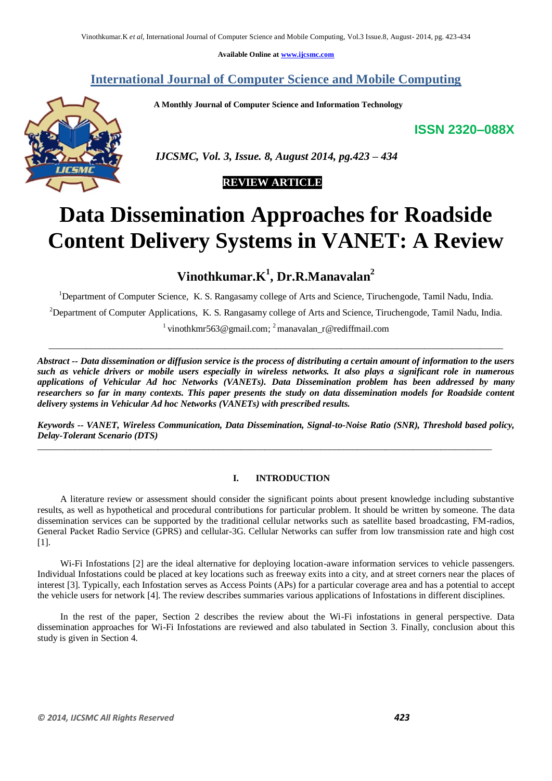**Available Online at www.ijcsmc.com**

## **International Journal of Computer Science and Mobile Computing**

 **A Monthly Journal of Computer Science and Information Technology**

**ISSN 2320–088X**



 *IJCSMC, Vol. 3, Issue. 8, August 2014, pg.423 – 434*

# **REVIEW ARTICLE**

# **Data Dissemination Approaches for Roadside Content Delivery Systems in VANET: A Review**

**Vinothkumar.K<sup>1</sup> , Dr.R.Manavalan<sup>2</sup>**

<sup>1</sup>Department of Computer Science, K. S. Rangasamy college of Arts and Science, Tiruchengode, Tamil Nadu, India.

<sup>2</sup>Department of Computer Applications, K. S. Rangasamy college of Arts and Science, Tiruchengode, Tamil Nadu, India.

<sup>1</sup> vinothkmr563@gmail.com; <sup>2</sup>manavalan\_r@rediffmail.com  $\_$  , and the set of the set of the set of the set of the set of the set of the set of the set of the set of the set of the set of the set of the set of the set of the set of the set of the set of the set of the set of th

*Abstract -- Data dissemination or diffusion service is the process of distributing a certain amount of information to the users such as vehicle drivers or mobile users especially in wireless networks. It also plays a significant role in numerous applications of Vehicular Ad hoc Networks (VANETs). Data Dissemination problem has been addressed by many researchers so far in many contexts. This paper presents the study on data dissemination models for Roadside content delivery systems in Vehicular Ad hoc Networks (VANETs) with prescribed results.*

*Keywords -- VANET, Wireless Communication, Data Dissemination, Signal-to-Noise Ratio (SNR), Threshold based policy, Delay-Tolerant Scenario (DTS)*

\_\_\_\_\_\_\_\_\_\_\_\_\_\_\_\_\_\_\_\_\_\_\_\_\_\_\_\_\_\_\_\_\_\_\_\_\_\_\_\_\_\_\_\_\_\_\_\_\_\_\_\_\_\_\_\_\_\_\_\_\_\_\_\_\_\_\_\_\_\_\_\_\_\_\_\_\_\_\_\_\_\_\_\_\_\_\_\_\_\_\_\_\_\_\_\_\_\_

#### **I. INTRODUCTION**

 A literature review or assessment should consider the significant points about present knowledge including substantive results, as well as hypothetical and procedural contributions for particular problem. It should be written by someone. The data dissemination services can be supported by the traditional cellular networks such as satellite based broadcasting, FM-radios, General Packet Radio Service (GPRS) and cellular-3G. Cellular Networks can suffer from low transmission rate and high cost [1].

Wi-Fi Infostations [2] are the ideal alternative for deploying location-aware information services to vehicle passengers. Individual Infostations could be placed at key locations such as freeway exits into a city, and at street corners near the places of interest [3]. Typically, each Infostation serves as Access Points (APs) for a particular coverage area and has a potential to accept the vehicle users for network [4]. The review describes summaries various applications of Infostations in different disciplines.

In the rest of the paper, Section 2 describes the review about the Wi-Fi infostations in general perspective. Data dissemination approaches for Wi-Fi Infostations are reviewed and also tabulated in Section 3. Finally, conclusion about this study is given in Section 4.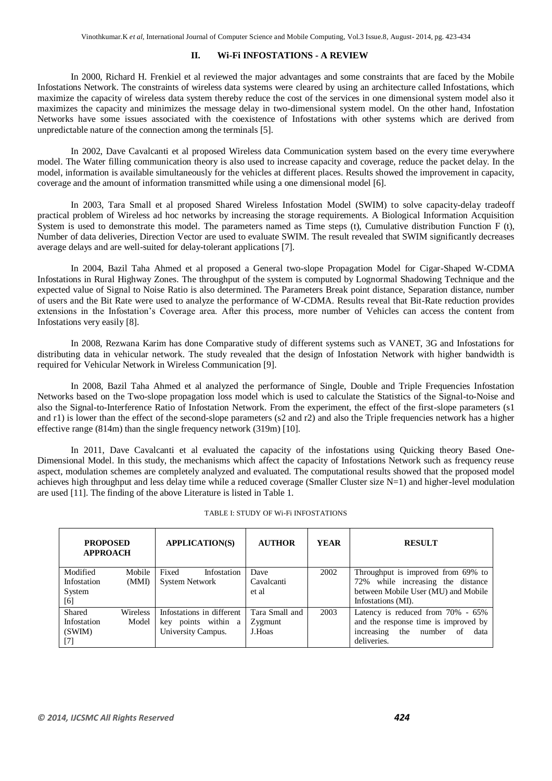## **II. Wi-Fi INFOSTATIONS - A REVIEW**

In 2000, Richard H. Frenkiel et al reviewed the major advantages and some constraints that are faced by the Mobile Infostations Network. The constraints of wireless data systems were cleared by using an architecture called Infostations, which maximize the capacity of wireless data system thereby reduce the cost of the services in one dimensional system model also it maximizes the capacity and minimizes the message delay in two-dimensional system model. On the other hand, Infostation Networks have some issues associated with the coexistence of Infostations with other systems which are derived from unpredictable nature of the connection among the terminals [5].

In 2002, Dave Cavalcanti et al proposed Wireless data Communication system based on the every time everywhere model. The Water filling communication theory is also used to increase capacity and coverage, reduce the packet delay. In the model, information is available simultaneously for the vehicles at different places. Results showed the improvement in capacity, coverage and the amount of information transmitted while using a one dimensional model [6].

In 2003, Tara Small et al proposed Shared Wireless Infostation Model (SWIM) to solve capacity-delay tradeoff practical problem of Wireless ad hoc networks by increasing the storage requirements. A Biological Information Acquisition System is used to demonstrate this model. The parameters named as Time steps  $(t)$ , Cumulative distribution Function F  $(t)$ , Number of data deliveries, Direction Vector are used to evaluate SWIM. The result revealed that SWIM significantly decreases average delays and are well-suited for delay-tolerant applications [7].

In 2004, Bazil Taha Ahmed et al proposed a General two-slope Propagation Model for Cigar-Shaped W-CDMA Infostations in Rural Highway Zones. The throughput of the system is computed by Lognormal Shadowing Technique and the expected value of Signal to Noise Ratio is also determined. The Parameters Break point distance, Separation distance, number of users and the Bit Rate were used to analyze the performance of W-CDMA. Results reveal that Bit-Rate reduction provides extensions in the Infostation's Coverage area. After this process, more number of Vehicles can access the content from Infostations very easily [8].

In 2008, Rezwana Karim has done Comparative study of different systems such as VANET, 3G and Infostations for distributing data in vehicular network. The study revealed that the design of Infostation Network with higher bandwidth is required for Vehicular Network in Wireless Communication [9].

In 2008, Bazil Taha Ahmed et al analyzed the performance of Single, Double and Triple Frequencies Infostation Networks based on the Two-slope propagation loss model which is used to calculate the Statistics of the Signal-to-Noise and also the Signal-to-Interference Ratio of Infostation Network. From the experiment, the effect of the first-slope parameters (s1 and r1) is lower than the effect of the second-slope parameters (s2 and r2) and also the Triple frequencies network has a higher effective range (814m) than the single frequency network (319m) [10].

In 2011, Dave Cavalcanti et al evaluated the capacity of the infostations using Quicking theory Based One-Dimensional Model. In this study, the mechanisms which affect the capacity of Infostations Network such as frequency reuse aspect, modulation schemes are completely analyzed and evaluated. The computational results showed that the proposed model achieves high throughput and less delay time while a reduced coverage (Smaller Cluster size N=1) and higher-level modulation are used [11]. The finding of the above Literature is listed in Table 1.

| <b>PROPOSED</b><br><b>APPROACH</b> |                 | <b>APPLICATION(S)</b>     | <b>AUTHOR</b>  | YEAR | <b>RESULT</b>                             |
|------------------------------------|-----------------|---------------------------|----------------|------|-------------------------------------------|
| Modified                           | Mobile          | Fixed<br>Infostation      | Dave           | 2002 | Throughput is improved from 69% to        |
| Infostation                        | (MMI)           | <b>System Network</b>     | Cavalcanti     |      | 72% while increasing the distance         |
| System                             |                 |                           | et al          |      | between Mobile User (MU) and Mobile       |
| [6]                                |                 |                           |                |      | Infostations (MI).                        |
| Shared                             | <b>Wireless</b> | Infostations in different | Tara Small and | 2003 | Latency is reduced from 70% - 65%         |
| Infostation                        | Model           | points within a<br>key    | Zygmunt        |      | and the response time is improved by      |
| (SWIM)                             |                 | University Campus.        | J.Hoas         |      | increasing<br>the<br>number<br>of<br>data |
| $[7]$                              |                 |                           |                |      | deliveries.                               |

#### TABLE I: STUDY OF Wi-Fi INFOSTATIONS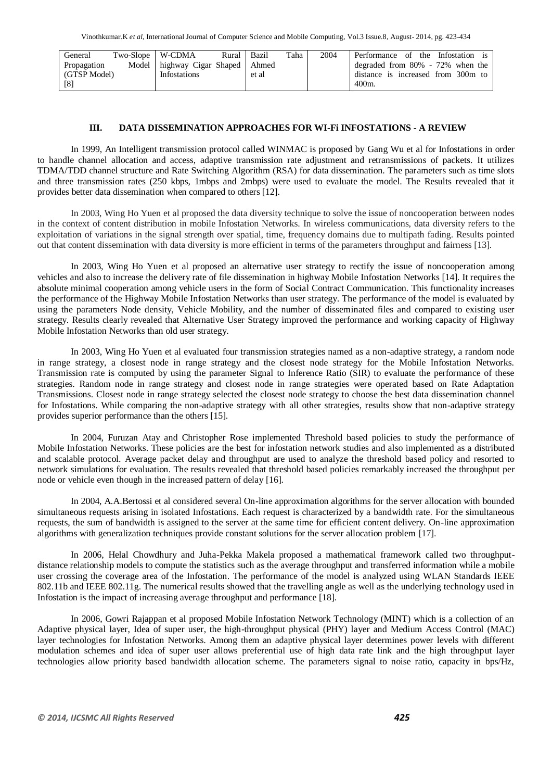| General      | Two-Slope   W-CDMA |                                    | Rural | Bazil | Taha | 2004 | Performance of the Infostation is   |
|--------------|--------------------|------------------------------------|-------|-------|------|------|-------------------------------------|
| Propagation  |                    | Model highway Cigar Shaped   Ahmed |       |       |      |      | degraded from $80\%$ - 72% when the |
| (GTSP Model) |                    | Infostations                       |       | et al |      |      | distance is increased from 300m to  |
| [8]          |                    |                                    |       |       |      |      | 400m.                               |

### **III. DATA DISSEMINATION APPROACHES FOR WI-Fi INFOSTATIONS - A REVIEW**

In 1999, An Intelligent transmission protocol called WINMAC is proposed by Gang Wu et al for Infostations in order to handle channel allocation and access, adaptive transmission rate adjustment and retransmissions of packets. It utilizes TDMA/TDD channel structure and Rate Switching Algorithm (RSA) for data dissemination. The parameters such as time slots and three transmission rates (250 kbps, 1mbps and 2mbps) were used to evaluate the model. The Results revealed that it provides better data dissemination when compared to others [12].

In 2003, Wing Ho Yuen et al proposed the data diversity technique to solve the issue of noncooperation between nodes in the context of content distribution in mobile Infostation Networks. In wireless communications, data diversity refers to the exploitation of variations in the signal strength over spatial, time, frequency domains due to multipath fading. Results pointed out that content dissemination with data diversity is more efficient in terms of the parameters throughput and fairness [13].

In 2003, Wing Ho Yuen et al proposed an alternative user strategy to rectify the issue of noncooperation among vehicles and also to increase the delivery rate of file dissemination in highway Mobile Infostation Networks [14]. It requires the absolute minimal cooperation among vehicle users in the form of Social Contract Communication. This functionality increases the performance of the Highway Mobile Infostation Networks than user strategy. The performance of the model is evaluated by using the parameters Node density, Vehicle Mobility, and the number of disseminated files and compared to existing user strategy. Results clearly revealed that Alternative User Strategy improved the performance and working capacity of Highway Mobile Infostation Networks than old user strategy.

In 2003, Wing Ho Yuen et al evaluated four transmission strategies named as a non-adaptive strategy, a random node in range strategy, a closest node in range strategy and the closest node strategy for the Mobile Infostation Networks. Transmission rate is computed by using the parameter Signal to Inference Ratio (SIR) to evaluate the performance of these strategies. Random node in range strategy and closest node in range strategies were operated based on Rate Adaptation Transmissions. Closest node in range strategy selected the closest node strategy to choose the best data dissemination channel for Infostations. While comparing the non-adaptive strategy with all other strategies, results show that non-adaptive strategy provides superior performance than the others [15].

In 2004, Furuzan Atay and Christopher Rose implemented Threshold based policies to study the performance of Mobile Infostation Networks. These policies are the best for infostation network studies and also implemented as a distributed and scalable protocol. Average packet delay and throughput are used to analyze the threshold based policy and resorted to network simulations for evaluation. The results revealed that threshold based policies remarkably increased the throughput per node or vehicle even though in the increased pattern of delay [16].

In 2004, A.A.Bertossi et al considered several On-line approximation algorithms for the server allocation with bounded simultaneous requests arising in isolated Infostations. Each request is characterized by a bandwidth rate. For the simultaneous requests, the sum of bandwidth is assigned to the server at the same time for efficient content delivery. On-line approximation algorithms with generalization techniques provide constant solutions for the server allocation problem [17].

In 2006, Helal Chowdhury and Juha-Pekka Makela proposed a mathematical framework called two throughputdistance relationship models to compute the statistics such as the average throughput and transferred information while a mobile user crossing the coverage area of the Infostation. The performance of the model is analyzed using WLAN Standards IEEE 802.11b and IEEE 802.11g. The numerical results showed that the travelling angle as well as the underlying technology used in Infostation is the impact of increasing average throughput and performance [18].

In 2006, Gowri Rajappan et al proposed Mobile Infostation Network Technology (MINT) which is a collection of an Adaptive physical layer, Idea of super user, the high-throughput physical (PHY) layer and Medium Access Control (MAC) layer technologies for Infostation Networks. Among them an adaptive physical layer determines power levels with different modulation schemes and idea of super user allows preferential use of high data rate link and the high throughput layer technologies allow priority based bandwidth allocation scheme. The parameters signal to noise ratio, capacity in bps/Hz,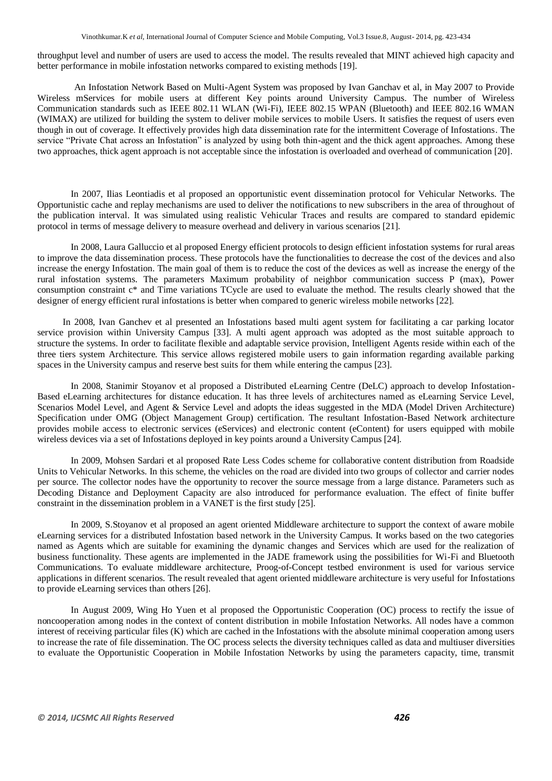Vinothkumar.K *et al*, International Journal of Computer Science and Mobile Computing, Vol.3 Issue.8, August- 2014, pg. 423-434

throughput level and number of users are used to access the model. The results revealed that MINT achieved high capacity and better performance in mobile infostation networks compared to existing methods [19].

 An Infostation Network Based on Multi-Agent System was proposed by Ivan Ganchav et al, in May 2007 to Provide Wireless mServices for mobile users at different Key points around University Campus. The number of Wireless Communication standards such as IEEE 802.11 WLAN (Wi-Fi), IEEE 802.15 WPAN (Bluetooth) and IEEE 802.16 WMAN (WIMAX) are utilized for building the system to deliver mobile services to mobile Users. It satisfies the request of users even though in out of coverage. It effectively provides high data dissemination rate for the intermittent Coverage of Infostations. The service "Private Chat across an Infostation" is analyzed by using both thin-agent and the thick agent approaches. Among these two approaches, thick agent approach is not acceptable since the infostation is overloaded and overhead of communication [20].

In 2007, Ilias Leontiadis et al proposed an opportunistic event dissemination protocol for Vehicular Networks. The Opportunistic cache and replay mechanisms are used to deliver the notifications to new subscribers in the area of throughout of the publication interval. It was simulated using realistic Vehicular Traces and results are compared to standard epidemic protocol in terms of message delivery to measure overhead and delivery in various scenarios [21].

In 2008, Laura Galluccio et al proposed Energy efficient protocols to design efficient infostation systems for rural areas to improve the data dissemination process. These protocols have the functionalities to decrease the cost of the devices and also increase the energy Infostation. The main goal of them is to reduce the cost of the devices as well as increase the energy of the rural infostation systems. The parameters Maximum probability of neighbor communication success P (max), Power consumption constraint c\* and Time variations TCycle are used to evaluate the method. The results clearly showed that the designer of energy efficient rural infostations is better when compared to generic wireless mobile networks [22].

 In 2008, Ivan Ganchev et al presented an Infostations based multi agent system for facilitating a car parking locator service provision within University Campus [33]. A multi agent approach was adopted as the most suitable approach to structure the systems. In order to facilitate flexible and adaptable service provision, Intelligent Agents reside within each of the three tiers system Architecture. This service allows registered mobile users to gain information regarding available parking spaces in the University campus and reserve best suits for them while entering the campus [23].

In 2008, Stanimir Stoyanov et al proposed a Distributed eLearning Centre (DeLC) approach to develop Infostation-Based eLearning architectures for distance education. It has three levels of architectures named as eLearning Service Level, Scenarios Model Level, and Agent & Service Level and adopts the ideas suggested in the MDA (Model Driven Architecture) Specification under OMG (Object Management Group) certification. The resultant Infostation-Based Network architecture provides mobile access to electronic services (eServices) and electronic content (eContent) for users equipped with mobile wireless devices via a set of Infostations deployed in key points around a University Campus [24].

In 2009, Mohsen Sardari et al proposed Rate Less Codes scheme for collaborative content distribution from Roadside Units to Vehicular Networks. In this scheme, the vehicles on the road are divided into two groups of collector and carrier nodes per source. The collector nodes have the opportunity to recover the source message from a large distance. Parameters such as Decoding Distance and Deployment Capacity are also introduced for performance evaluation. The effect of finite buffer constraint in the dissemination problem in a VANET is the first study [25].

In 2009, S.Stoyanov et al proposed an agent oriented Middleware architecture to support the context of aware mobile eLearning services for a distributed Infostation based network in the University Campus. It works based on the two categories named as Agents which are suitable for examining the dynamic changes and Services which are used for the realization of business functionality. These agents are implemented in the JADE framework using the possibilities for Wi-Fi and Bluetooth Communications. To evaluate middleware architecture, Proog-of-Concept testbed environment is used for various service applications in different scenarios. The result revealed that agent oriented middleware architecture is very useful for Infostations to provide eLearning services than others [26].

In August 2009, Wing Ho Yuen et al proposed the Opportunistic Cooperation (OC) process to rectify the issue of noncooperation among nodes in the context of content distribution in mobile Infostation Networks. All nodes have a common interest of receiving particular files (K) which are cached in the Infostations with the absolute minimal cooperation among users to increase the rate of file dissemination. The OC process selects the diversity techniques called as data and multiuser diversities to evaluate the Opportunistic Cooperation in Mobile Infostation Networks by using the parameters capacity, time, transmit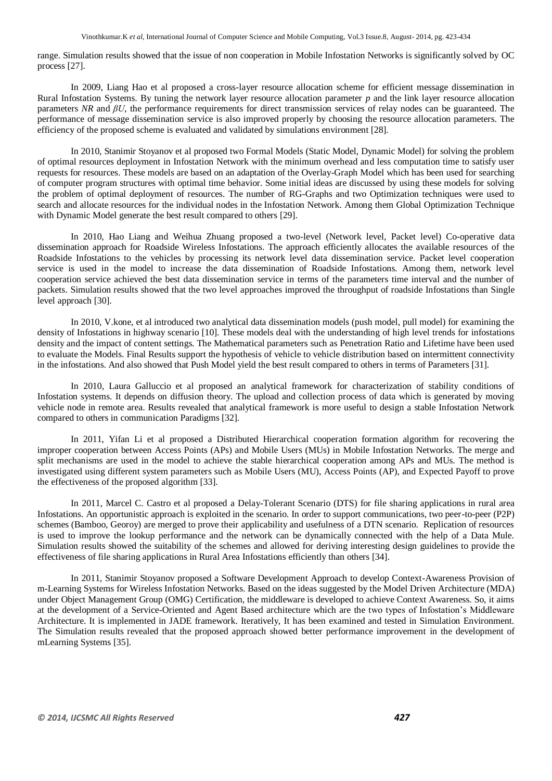range. Simulation results showed that the issue of non cooperation in Mobile Infostation Networks is significantly solved by OC process [27].

In 2009, Liang Hao et al proposed a cross-layer resource allocation scheme for efficient message dissemination in Rural Infostation Systems. By tuning the network layer resource allocation parameter *p* and the link layer resource allocation parameters *NR* and *βU*, the performance requirements for direct transmission services of relay nodes can be guaranteed. The performance of message dissemination service is also improved properly by choosing the resource allocation parameters. The efficiency of the proposed scheme is evaluated and validated by simulations environment [28].

In 2010, Stanimir Stoyanov et al proposed two Formal Models (Static Model, Dynamic Model) for solving the problem of optimal resources deployment in Infostation Network with the minimum overhead and less computation time to satisfy user requests for resources. These models are based on an adaptation of the Overlay-Graph Model which has been used for searching of computer program structures with optimal time behavior. Some initial ideas are discussed by using these models for solving the problem of optimal deployment of resources. The number of RG-Graphs and two Optimization techniques were used to search and allocate resources for the individual nodes in the Infostation Network. Among them Global Optimization Technique with Dynamic Model generate the best result compared to others [29].

In 2010, Hao Liang and Weihua Zhuang proposed a two-level (Network level, Packet level) Co-operative data dissemination approach for Roadside Wireless Infostations. The approach efficiently allocates the available resources of the Roadside Infostations to the vehicles by processing its network level data dissemination service. Packet level cooperation service is used in the model to increase the data dissemination of Roadside Infostations. Among them, network level cooperation service achieved the best data dissemination service in terms of the parameters time interval and the number of packets. Simulation results showed that the two level approaches improved the throughput of roadside Infostations than Single level approach [30].

In 2010, V.kone, et al introduced two analytical data dissemination models (push model, pull model) for examining the density of Infostations in highway scenario [10]. These models deal with the understanding of high level trends for infostations density and the impact of content settings. The Mathematical parameters such as Penetration Ratio and Lifetime have been used to evaluate the Models. Final Results support the hypothesis of vehicle to vehicle distribution based on intermittent connectivity in the infostations. And also showed that Push Model yield the best result compared to others in terms of Parameters [31].

In 2010, Laura Galluccio et al proposed an analytical framework for characterization of stability conditions of Infostation systems. It depends on diffusion theory. The upload and collection process of data which is generated by moving vehicle node in remote area. Results revealed that analytical framework is more useful to design a stable Infostation Network compared to others in communication Paradigms [32].

In 2011, Yifan Li et al proposed a Distributed Hierarchical cooperation formation algorithm for recovering the improper cooperation between Access Points (APs) and Mobile Users (MUs) in Mobile Infostation Networks. The merge and split mechanisms are used in the model to achieve the stable hierarchical cooperation among APs and MUs. The method is investigated using different system parameters such as Mobile Users (MU), Access Points (AP), and Expected Payoff to prove the effectiveness of the proposed algorithm [33].

In 2011, Marcel C. Castro et al proposed a Delay-Tolerant Scenario (DTS) for file sharing applications in rural area Infostations. An opportunistic approach is exploited in the scenario. In order to support communications, two peer-to-peer (P2P) schemes (Bamboo, Georoy) are merged to prove their applicability and usefulness of a DTN scenario. Replication of resources is used to improve the lookup performance and the network can be dynamically connected with the help of a Data Mule. Simulation results showed the suitability of the schemes and allowed for deriving interesting design guidelines to provide the effectiveness of file sharing applications in Rural Area Infostations efficiently than others [34].

In 2011, Stanimir Stoyanov proposed a Software Development Approach to develop Context-Awareness Provision of m-Learning Systems for Wireless Infostation Networks. Based on the ideas suggested by the Model Driven Architecture (MDA) under Object Management Group (OMG) Certification, the middleware is developed to achieve Context Awareness. So, it aims at the development of a Service-Oriented and Agent Based architecture which are the two types of Infostation's Middleware Architecture. It is implemented in JADE framework. Iteratively, It has been examined and tested in Simulation Environment. The Simulation results revealed that the proposed approach showed better performance improvement in the development of mLearning Systems [35].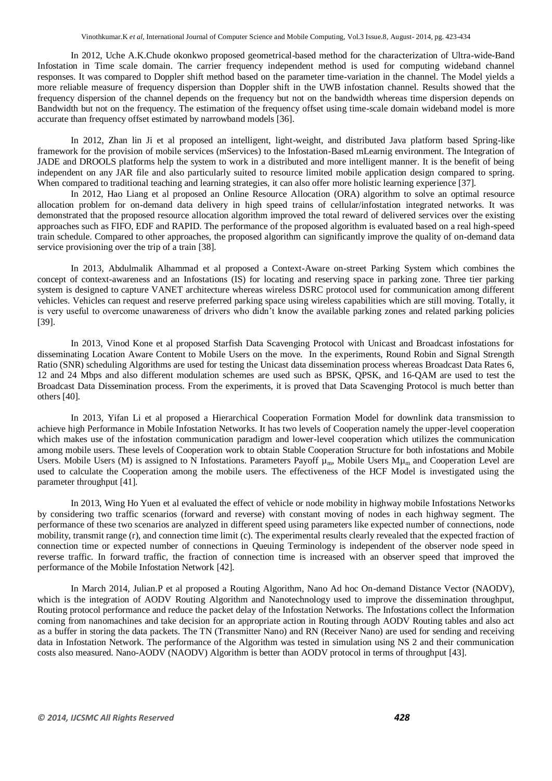In 2012, Uche A.K.Chude okonkwo proposed geometrical-based method for the characterization of Ultra-wide-Band Infostation in Time scale domain. The carrier frequency independent method is used for computing wideband channel responses. It was compared to Doppler shift method based on the parameter time-variation in the channel. The Model yields a more reliable measure of frequency dispersion than Doppler shift in the UWB infostation channel. Results showed that the frequency dispersion of the channel depends on the frequency but not on the bandwidth whereas time dispersion depends on Bandwidth but not on the frequency. The estimation of the frequency offset using time-scale domain wideband model is more accurate than frequency offset estimated by narrowband models [36].

In 2012, Zhan lin Ji et al proposed an intelligent, light-weight, and distributed Java platform based Spring-like framework for the provision of mobile services (mServices) to the Infostation-Based mLearnig environment. The Integration of JADE and DROOLS platforms help the system to work in a distributed and more intelligent manner. It is the benefit of being independent on any JAR file and also particularly suited to resource limited mobile application design compared to spring. When compared to traditional teaching and learning strategies, it can also offer more holistic learning experience [37].

In 2012, Hao Liang et al proposed an Online Resource Allocation (ORA) algorithm to solve an optimal resource allocation problem for on-demand data delivery in high speed trains of cellular/infostation integrated networks. It was demonstrated that the proposed resource allocation algorithm improved the total reward of delivered services over the existing approaches such as FIFO, EDF and RAPID. The performance of the proposed algorithm is evaluated based on a real high-speed train schedule. Compared to other approaches, the proposed algorithm can significantly improve the quality of on-demand data service provisioning over the trip of a train [38].

In 2013, Abdulmalik Alhammad et al proposed a Context-Aware on-street Parking System which combines the concept of context-awareness and an Infostations (IS) for locating and reserving space in parking zone. Three tier parking system is designed to capture VANET architecture whereas wireless DSRC protocol used for communication among different vehicles. Vehicles can request and reserve preferred parking space using wireless capabilities which are still moving. Totally, it is very useful to overcome unawareness of drivers who didn't know the available parking zones and related parking policies [39].

In 2013, Vinod Kone et al proposed Starfish Data Scavenging Protocol with Unicast and Broadcast infostations for disseminating Location Aware Content to Mobile Users on the move. In the experiments, Round Robin and Signal Strength Ratio (SNR) scheduling Algorithms are used for testing the Unicast data dissemination process whereas Broadcast Data Rates 6, 12 and 24 Mbps and also different modulation schemes are used such as BPSK, QPSK, and 16-QAM are used to test the Broadcast Data Dissemination process. From the experiments, it is proved that Data Scavenging Protocol is much better than others [40].

In 2013, Yifan Li et al proposed a Hierarchical Cooperation Formation Model for downlink data transmission to achieve high Performance in Mobile Infostation Networks. It has two levels of Cooperation namely the upper-level cooperation which makes use of the infostation communication paradigm and lower-level cooperation which utilizes the communication among mobile users. These levels of Cooperation work to obtain Stable Cooperation Structure for both infostations and Mobile Users. Mobile Users (M) is assigned to N Infostations. Parameters Payoff  $\mu_m$ , Mobile Users  $M\mu_m$  and Cooperation Level are used to calculate the Cooperation among the mobile users. The effectiveness of the HCF Model is investigated using the parameter throughput [41].

In 2013, Wing Ho Yuen et al evaluated the effect of vehicle or node mobility in highway mobile Infostations Networks by considering two traffic scenarios (forward and reverse) with constant moving of nodes in each highway segment. The performance of these two scenarios are analyzed in different speed using parameters like expected number of connections, node mobility, transmit range (r), and connection time limit (c). The experimental results clearly revealed that the expected fraction of connection time or expected number of connections in Queuing Terminology is independent of the observer node speed in reverse traffic. In forward traffic, the fraction of connection time is increased with an observer speed that improved the performance of the Mobile Infostation Network [42].

In March 2014, Julian.P et al proposed a Routing Algorithm, Nano Ad hoc On-demand Distance Vector (NAODV), which is the integration of AODV Routing Algorithm and Nanotechnology used to improve the dissemination throughput, Routing protocol performance and reduce the packet delay of the Infostation Networks. The Infostations collect the Information coming from nanomachines and take decision for an appropriate action in Routing through AODV Routing tables and also act as a buffer in storing the data packets. The TN (Transmitter Nano) and RN (Receiver Nano) are used for sending and receiving data in Infostation Network. The performance of the Algorithm was tested in simulation using NS 2 and their communication costs also measured. Nano-AODV (NAODV) Algorithm is better than AODV protocol in terms of throughput [43].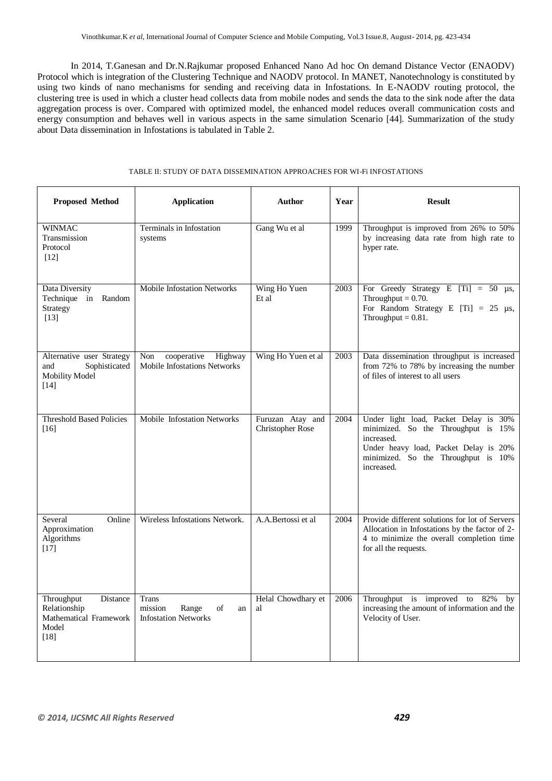In 2014, T.Ganesan and Dr.N.Rajkumar proposed Enhanced Nano Ad hoc On demand Distance Vector (ENAODV) Protocol which is integration of the Clustering Technique and NAODV protocol. In MANET, Nanotechnology is constituted by using two kinds of nano mechanisms for sending and receiving data in Infostations. In E-NAODV routing protocol, the clustering tree is used in which a cluster head collects data from mobile nodes and sends the data to the sink node after the data aggregation process is over. Compared with optimized model, the enhanced model reduces overall communication costs and energy consumption and behaves well in various aspects in the same simulation Scenario [44]. Summarization of the study about Data dissemination in Infostations is tabulated in Table 2.

#### TABLE II: STUDY OF DATA DISSEMINATION APPROACHES FOR WI-Fi INFOSTATIONS

| <b>Proposed Method</b>                                                              | <b>Application</b>                                                          | <b>Author</b>                               | Year | <b>Result</b>                                                                                                                                                                            |
|-------------------------------------------------------------------------------------|-----------------------------------------------------------------------------|---------------------------------------------|------|------------------------------------------------------------------------------------------------------------------------------------------------------------------------------------------|
| <b>WINMAC</b><br>Transmission<br>Protocol<br>$\lceil 12 \rceil$                     | Terminals in Infostation<br>systems                                         | Gang Wu et al                               | 1999 | Throughput is improved from 26% to 50%<br>by increasing data rate from high rate to<br>hyper rate.                                                                                       |
| Data Diversity<br>Technique in Random<br>Strategy<br>$[13]$                         | <b>Mobile Infostation Networks</b>                                          | Wing Ho Yuen<br>Et al                       | 2003 | For Greedy Strategy E [Ti] = 50 $\mu$ s,<br>Throughput $= 0.70$ .<br>For Random Strategy E [Ti] = 25 $\mu$ s,<br>Throughput $= 0.81$ .                                                   |
| Alternative user Strategy<br>Sophisticated<br>and<br>Mobility Model<br>$[14]$       | cooperative<br>Highway<br>Non<br><b>Mobile Infostations Networks</b>        | Wing Ho Yuen et al                          | 2003 | Data dissemination throughput is increased<br>from 72% to 78% by increasing the number<br>of files of interest to all users                                                              |
| <b>Threshold Based Policies</b><br>[16]                                             | Mobile Infostation Networks                                                 | Furuzan Atay and<br><b>Christopher Rose</b> | 2004 | Under light load, Packet Delay is 30%<br>minimized. So the Throughput is 15%<br>increased.<br>Under heavy load, Packet Delay is 20%<br>minimized. So the Throughput is 10%<br>increased. |
| Several<br>Online<br>Approximation<br>Algorithms<br>$[17]$                          | Wireless Infostations Network.                                              | A.A.Bertossi et al                          | 2004 | Provide different solutions for lot of Servers<br>Allocation in Infostations by the factor of 2-<br>4 to minimize the overall completion time<br>for all the requests.                   |
| Throughput<br>Distance<br>Relationship<br>Mathematical Framework<br>Model<br>$[18]$ | <b>Trans</b><br>mission<br>Range<br>of<br>an<br><b>Infostation Networks</b> | Helal Chowdhary et<br>al                    | 2006 | Throughput is improved to 82%<br>by<br>increasing the amount of information and the<br>Velocity of User.                                                                                 |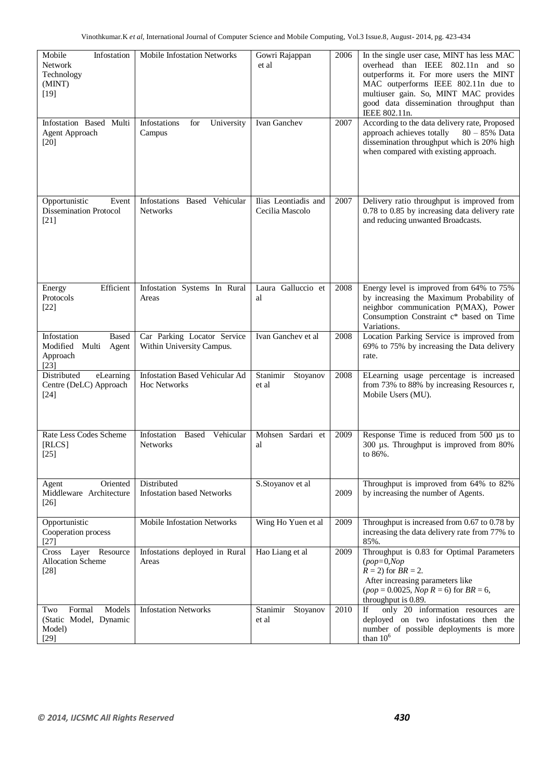| Mobile<br>Infostation<br><b>Network</b><br>Technology<br>(MINT)<br>$[19]$ | Mobile Infostation Networks                              | Gowri Rajappan<br>et al                 | 2006 | In the single user case, MINT has less MAC<br>overhead than IEEE 802.11n and so<br>outperforms it. For more users the MINT<br>MAC outperforms IEEE 802.11n due to<br>multiuser gain. So, MINT MAC provides<br>good data dissemination throughput than<br>IEEE 802.11n. |
|---------------------------------------------------------------------------|----------------------------------------------------------|-----------------------------------------|------|------------------------------------------------------------------------------------------------------------------------------------------------------------------------------------------------------------------------------------------------------------------------|
| Infostation Based Multi<br><b>Agent Approach</b><br>$[20]$                | Infostations<br>for<br>University<br>Campus              | Ivan Ganchev                            | 2007 | According to the data delivery rate, Proposed<br>approach achieves totally<br>$80 - 85\%$ Data<br>dissemination throughput which is 20% high<br>when compared with existing approach.                                                                                  |
| Opportunistic<br>Event<br><b>Dissemination Protocol</b><br>[21]           | Infostations<br>Based Vehicular<br><b>Networks</b>       | Ilias Leontiadis and<br>Cecilia Mascolo | 2007 | Delivery ratio throughput is improved from<br>0.78 to 0.85 by increasing data delivery rate<br>and reducing unwanted Broadcasts.                                                                                                                                       |
| Efficient<br>Energy<br>Protocols<br>$[22]$                                | Infostation Systems In Rural<br>Areas                    | Laura Galluccio et<br>al                | 2008 | Energy level is improved from 64% to 75%<br>by increasing the Maximum Probability of<br>neighbor communication P(MAX), Power<br>Consumption Constraint c* based on Time<br>Variations.                                                                                 |
| Infostation<br>Based<br>Modified Multi Agent<br>Approach<br>$[23]$        | Car Parking Locator Service<br>Within University Campus. | Ivan Ganchev et al                      | 2008 | Location Parking Service is improved from<br>69% to 75% by increasing the Data delivery<br>rate.                                                                                                                                                                       |
| Distributed<br>eLearning<br>Centre (DeLC) Approach<br>$[24]$              | <b>Infostation Based Vehicular Ad</b><br>Hoc Networks    | Stanimir<br>Stoyanov<br>et al           | 2008 | ELearning usage percentage is increased<br>from 73% to 88% by increasing Resources r,<br>Mobile Users (MU).                                                                                                                                                            |
| Rate Less Codes Scheme<br>[RLCS]<br>$[25]$                                | Infostation<br>Vehicular<br>Based<br><b>Networks</b>     | Mohsen Sardari et<br>al                 | 2009 | Response Time is reduced from 500 µs to<br>300 µs. Throughput is improved from 80%<br>to 86%.                                                                                                                                                                          |
| Oriented<br>Agent<br>Middleware Architecture<br>[26]                      | Distributed<br><b>Infostation based Networks</b>         | S.Stoyanov et al                        | 2009 | Throughput is improved from 64% to 82%<br>by increasing the number of Agents.                                                                                                                                                                                          |
| Opportunistic<br>Cooperation process<br>$[27]$                            | <b>Mobile Infostation Networks</b>                       | Wing Ho Yuen et al                      | 2009 | Throughput is increased from 0.67 to 0.78 by<br>increasing the data delivery rate from 77% to<br>85%.                                                                                                                                                                  |
| Cross Layer Resource<br><b>Allocation Scheme</b><br>$[28]$                | Infostations deployed in Rural<br>Areas                  | Hao Liang et al                         | 2009 | Throughput is 0.83 for Optimal Parameters<br>$(pop=0,Nop)$<br>$R = 2$ ) for $BR = 2$ .<br>After increasing parameters like<br>$(pop = 0.0025, Nop R = 6)$ for $BR = 6$ ,<br>throughput is 0.89.                                                                        |
| Models<br>Formal<br>Two<br>(Static Model, Dynamic<br>Model)<br>$[29]$     | <b>Infostation Networks</b>                              | Stanimir<br>Stoyanov<br>et al           | 2010 | only 20 information resources are<br>If<br>deployed on two infostations then the<br>number of possible deployments is more<br>than $10^6$                                                                                                                              |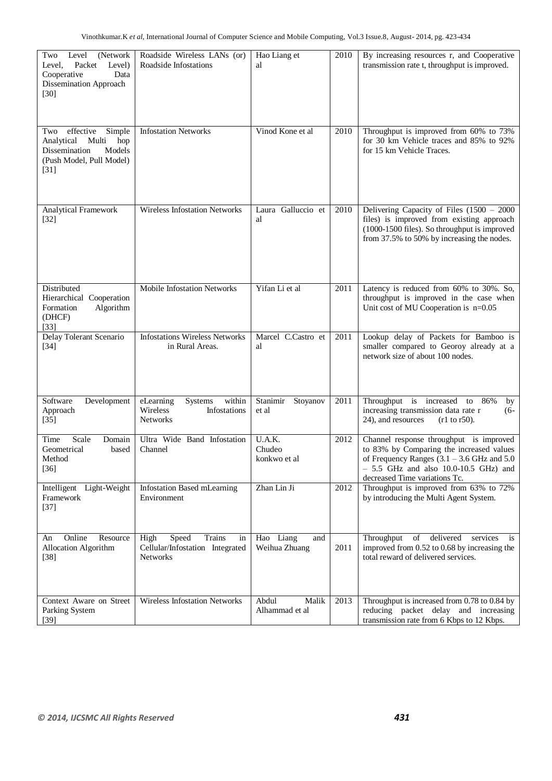| Two<br>Level<br>(Network)<br>Packet<br>Level)<br>Level,<br>Cooperative<br>Data<br>Dissemination Approach<br>$[30]$        | Roadside Wireless LANs (or)<br>Roadside Infostations                                | Hao Liang et<br>al                | 2010 | By increasing resources r, and Cooperative<br>transmission rate t, throughput is improved.                                                                                                                       |
|---------------------------------------------------------------------------------------------------------------------------|-------------------------------------------------------------------------------------|-----------------------------------|------|------------------------------------------------------------------------------------------------------------------------------------------------------------------------------------------------------------------|
| effective<br>Simple<br>Two<br>Multi<br>hop<br>Analytical<br>Models<br>Dissemination<br>(Push Model, Pull Model)<br>$[31]$ | <b>Infostation Networks</b>                                                         | Vinod Kone et al                  | 2010 | Throughput is improved from 60% to 73%<br>for 30 km Vehicle traces and 85% to 92%<br>for 15 km Vehicle Traces.                                                                                                   |
| Analytical Framework<br>$[32]$                                                                                            | Wireless Infostation Networks                                                       | Laura Galluccio et<br>al          | 2010 | Delivering Capacity of Files $(1500 - 2000)$<br>files) is improved from existing approach<br>(1000-1500 files). So throughput is improved<br>from 37.5% to 50% by increasing the nodes.                          |
| Distributed<br>Hierarchical Cooperation<br>Formation<br>Algorithm<br>(DHCF)<br>$[33]$                                     | Mobile Infostation Networks                                                         | Yifan Li et al                    | 2011 | Latency is reduced from 60% to 30%. So,<br>throughput is improved in the case when<br>Unit cost of MU Cooperation is $n=0.05$                                                                                    |
| Delay Tolerant Scenario<br>$[34]$                                                                                         | <b>Infostations Wireless Networks</b><br>in Rural Areas.                            | Marcel C.Castro et<br>al          | 2011 | Lookup delay of Packets for Bamboo is<br>smaller compared to Georoy already at a<br>network size of about 100 nodes.                                                                                             |
| Software<br>Development<br>Approach<br>$[35]$                                                                             | within<br>eLearning<br>Systems<br>Wireless<br>Infostations<br><b>Networks</b>       | Stanimir<br>Stoyanov<br>et al     | 2011 | Throughput is increased to<br>86%<br>by<br>increasing transmission data rate r<br>$(6-$<br>24), and resources<br>$(r1 to r50)$ .                                                                                 |
| Scale<br>Time<br>Domain<br>Geometrical<br>based<br>Method<br>$[36]$                                                       | Ultra Wide Band Infostation<br>Channel                                              | U.A.K.<br>Chudeo<br>konkwo et al  | 2012 | Channel response throughput is improved<br>to 83% by Comparing the increased values<br>of Frequency Ranges $(3.1 - 3.6$ GHz and $5.0$<br>$-5.5$ GHz and also 10.0-10.5 GHz) and<br>decreased Time variations Tc. |
| Intelligent Light-Weight<br>Framework<br>$[37]$                                                                           | Infostation Based mLearning<br>Environment                                          | Zhan Lin Ji                       | 2012 | Throughput is improved from 63% to 72%<br>by introducing the Multi Agent System.                                                                                                                                 |
| Online<br>Resource<br>An<br>Allocation Algorithm<br>$[38]$                                                                | Trains<br>High<br>Speed<br>in<br>Cellular/Infostation Integrated<br><b>Networks</b> | Hao Liang<br>and<br>Weihua Zhuang | 2011 | of delivered<br>Throughput<br>services<br>is.<br>improved from 0.52 to 0.68 by increasing the<br>total reward of delivered services.                                                                             |
| Context Aware on Street<br>Parking System<br>$[39]$                                                                       | <b>Wireless Infostation Networks</b>                                                | Abdul<br>Malik<br>Alhammad et al  | 2013 | Throughput is increased from 0.78 to 0.84 by<br>reducing packet delay and increasing<br>transmission rate from 6 Kbps to 12 Kbps.                                                                                |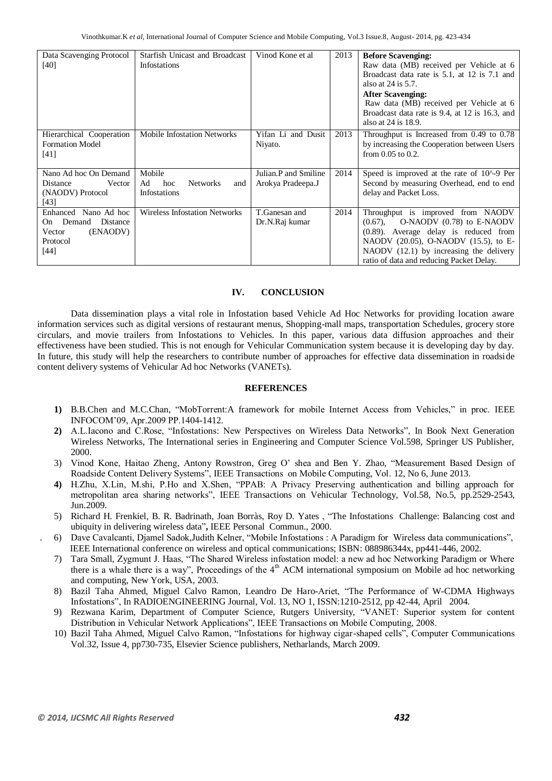| Data Scavenging Protocol<br>$[40]$                                                               | Starfish Unicast and Broadcast<br>Infostations                | Vinod Kone et al                          | 2013 | <b>Before Scavenging:</b><br>Raw data (MB) received per Vehicle at 6<br>Broadcast data rate is 5.1, at 12 is 7.1 and<br>also at $24$ is $5.7$ .<br><b>After Scavenging:</b><br>Raw data (MB) received per Vehicle at 6<br>Broadcast data rate is 9.4, at 12 is 16.3, and<br>also at 24 is 18.9. |
|--------------------------------------------------------------------------------------------------|---------------------------------------------------------------|-------------------------------------------|------|-------------------------------------------------------------------------------------------------------------------------------------------------------------------------------------------------------------------------------------------------------------------------------------------------|
| Hierarchical Cooperation<br><b>Formation Model</b><br>[41]                                       | <b>Mobile Infostation Networks</b>                            | Yifan Li and Dusit<br>Niyato.             | 2013 | Throughput is Increased from 0.49 to 0.78<br>by increasing the Cooperation between Users<br>from $0.05$ to $0.2$ .                                                                                                                                                                              |
| Nano Ad hoc On Demand<br>Vector<br>Distance<br>(NAODV) Protocol<br>[43]                          | Mobile<br>Ad<br>hoc<br><b>Networks</b><br>and<br>Infostations | Julian.P and Smiline<br>Arokya Pradeepa.J | 2014 | Speed is improved at the rate of 10 <sup><math>\land</math></sup> -9 Per<br>Second by measuring Overhead, end to end<br>delay and Packet Loss.                                                                                                                                                  |
| Nano Ad hoc<br>Enhanced<br>Demand<br>Distance<br>On.<br>(ENAODV)<br>Vector<br>Protocol<br>$[44]$ | <b>Wireless Infostation Networks</b>                          | T.Ganesan and<br>Dr.N.Raj kumar           | 2014 | Throughput is improved from NAODV<br>O-NAODV (0.78) to E-NAODV<br>$(0.67)$ ,<br>$(0.89)$ . Average delay is reduced from<br>NAODV (20.05), O-NAODV (15.5), to E-<br>NAODV (12.1) by increasing the delivery<br>ratio of data and reducing Packet Delay.                                         |

## **IV. CONCLUSION**

Data dissemination plays a vital role in Infostation based Vehicle Ad Hoc Networks for providing location aware information services such as digital versions of restaurant menus, Shopping-mall maps, transportation Schedules, grocery store circulars, and movie trailers from Infostations to Vehicles. In this paper, various data diffusion approaches and their effectiveness have been studied. This is not enough for Vehicular Communication system because it is developing day by day. In future, this study will help the researchers to contribute number of approaches for effective data dissemination in roadside content delivery systems of Vehicular Ad hoc Networks (VANETs).

#### **REFERENCES**

- **1)** B.B.Chen and M.C.Chan, "MobTorrent:A framework for mobile Internet Access from Vehicles," in proc. IEEE INFOCOM'09, Apr.2009 PP.1404-1412.
- **2)** A.L.Iacono and C.Rose, "Infostations: New Perspectives on Wireless Data Networks", In Book Next Generation Wireless Networks, The International series in Engineering and Computer Science Vol.598, Springer US Publisher, 2000.
- 3) Vinod Kone, Haitao Zheng, Antony Rowstron, Greg O' shea and Ben Y. Zhao, "Measurement Based Design of Roadside Content Delivery Systems", IEEE Transactions on Mobile Computing, Vol. 12, No 6, June 2013.
- **4)** H.Zhu, X.Lin, M.shi, P.Ho and X.Shen, "PPAB: A Privacy Preserving authentication and billing approach for metropolitan area sharing networks", IEEE Transactions on Vehicular Technology, Vol.58, No.5, pp.2529-2543, Jun.2009.
- 5) [Richard H. Frenkiel,](http://dblp.kbs.uni-hannover.de/dblp/Search.action?search=&q=by%3A%22Richard+H.+Frenkiel%22) [B. R. Badrinath,](http://dblp.kbs.uni-hannover.de/dblp/Search.action?search=&q=by%3A%22B.+R.+Badrinath%22) [Joan Borràs,](http://dblp.kbs.uni-hannover.de/dblp/Search.action?search=&q=by%3A%22Joan+Borr%C3%A0s%22) [Roy D. Yates](http://dblp.kbs.uni-hannover.de/dblp/Search.action?search=&q=by%3A%22Roy+D.+Yates%22) , ["The Infostations Challenge: Balancing cost and](http://dblp.kbs.uni-hannover.de/dblp/Search.action?search=&q=INFOSTATIONS&page=4&appliedFilters=source_facet%7CDBLP)  [ubiquity in delivering wireless data"](http://dblp.kbs.uni-hannover.de/dblp/Search.action?search=&q=INFOSTATIONS&page=4&appliedFilters=source_facet%7CDBLP)**,** [IEEE Personal Commun.,](http://dblp.kbs.uni-hannover.de/dblp/Search.action?search=&q=in%3A%22IEEE+Personal+Commun.%22) [2000.](http://dblp.kbs.uni-hannover.de/dblp/Search.action?search=&q=in%3A%222000%22)
- . 6) Dave Cavalcanti, Djamel Sadok,Judith Kelner, "Mobile Infostations : A Paradigm for Wireless data communications", IEEE International conference on wireless and optical communications; ISBN: 088986344x, pp441-446, 2002.
- 7) Tara Small, Zygmunt J. Haas, "The Shared Wireless infostation model: a new ad hoc Networking Paradigm or Where there is a whale there is a way", Proceedings of the  $4<sup>th</sup>$  ACM international symposium on Mobile ad hoc networking and computing, New York, USA, 2003.
- 8) Bazil Taha Ahmed, Miguel Calvo Ramon, Leandro De Haro-Ariet, "The Performance of W-CDMA Highways Infostations", In RADIOENGINEERING Journal, Vol. 13, NO 1, ISSN:1210-2512, pp 42-44, April 2004.
- 9) Rezwana Karim, Department of Computer Science, Rutgers University, "VANET: Superior system for content Distribution in Vehicular Network Applications", IEEE Transactions on Mobile Computing, 2008.
- 10) Bazil Taha Ahmed, Miguel Calvo Ramon, "Infostations for highway cigar-shaped cells", Computer Communications Vol.32, Issue 4, pp730-735, Elsevier Science publishers, Netharlands, March 2009.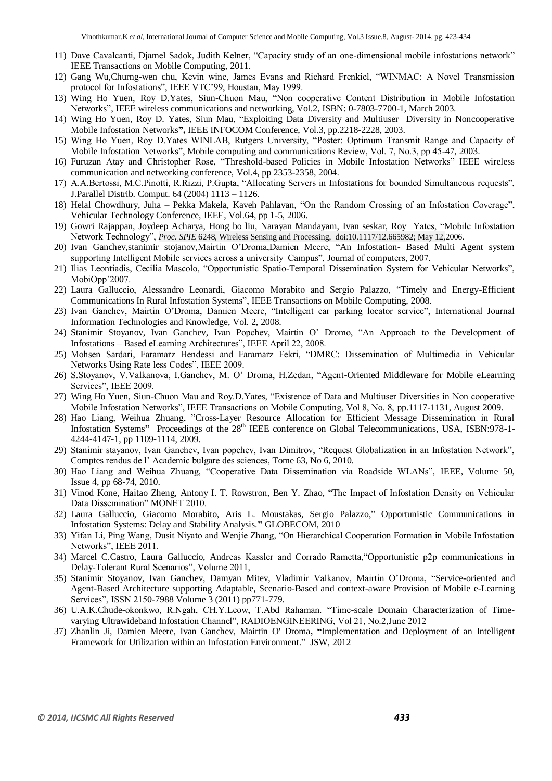- 11) Dave Cavalcanti, Djamel Sadok, Judith Kelner, "Capacity study of an one-dimensional mobile infostations network" IEEE Transactions on Mobile Computing, 2011.
- 12) Gang Wu,Churng-wen chu, Kevin wine, James Evans and Richard Frenkiel, "WINMAC: A Novel Transmission protocol for Infostations", IEEE VTC'99, Houstan, May 1999.
- 13) Wing Ho Yuen, Roy D.Yates, Siun-Chuon Mau, "Non cooperative Content Distribution in Mobile Infostation Networks", IEEE wireless communications and networking, Vol.2, ISBN: 0-7803-7700-1, March 2003.
- 14) [Wing Ho Yuen,](http://dblp.kbs.uni-hannover.de/dblp/Search.action?search=&q=by%3A%22Wing+Ho+Yuen%22) [Roy D. Yates,](http://dblp.kbs.uni-hannover.de/dblp/Search.action?search=&q=by%3A%22Roy+D.+Yates%22) [Siun Mau,](http://dblp.kbs.uni-hannover.de/dblp/Search.action?search=&q=by%3A%22Siun+Mau%22) ["Exploiting Data Diversity and Multiuser Diversity in Noncooperative](http://dblp.kbs.uni-hannover.de/dblp/Search.action?search=&q=INFOSTATIONS&page=3&appliedFilters=source_facet%7CDBLP)  [Mobile Infostation Networks](http://dblp.kbs.uni-hannover.de/dblp/Search.action?search=&q=INFOSTATIONS&page=3&appliedFilters=source_facet%7CDBLP)**",** IEE[E INFOCOM](http://dblp.kbs.uni-hannover.de/dblp/Search.action?search=&q=in%3A%22INFOCOM%22) Conference, Vol.3, pp.2218-2228, [2003.](http://dblp.kbs.uni-hannover.de/dblp/Search.action?search=&q=in%3A%222003%22)
- 15) Wing Ho Yuen, Roy D.Yates WINLAB, Rutgers University, "Poster: Optimum Transmit Range and Capacity of Mobile Infostation Networks", Mobile computing and communications Review, Vol. 7, No.3, pp 45-47, 2003.
- 16) Furuzan Atay and Christopher Rose, "Threshold-based Policies in Mobile Infostation Networks" IEEE wireless communication and networking conference, Vol.4, pp 2353-2358, 2004.
- 17) A.A.Bertossi, M.C.Pinotti, R.Rizzi, P.Gupta, "Allocating Servers in Infostations for bounded Simultaneous requests", J.Parallel Distrib. Comput. 64 (2004) 1113 – 1126.
- 18) Helal Chowdhury, Juha Pekka Makela, Kaveh Pahlavan, "On the Random Crossing of an Infostation Coverage", Vehicular Technology Conference, IEEE, Vol.64, pp 1-5, 2006.
- 19) Gowri Rajappan, Joydeep Acharya, Hong bo liu, Narayan Mandayam, Ivan seskar, Roy Yates, "Mobile Infostation Network Technology", *Proc. SPIE* 6248, Wireless Sensing and Processing, doi:10.1117/12.665982; May 12,2006.
- 20) Ivan Ganchev,stanimir stojanov,Mairtin O'Droma,Damien Meere, "An Infostation- Based Multi Agent system supporting Intelligent Mobile services across a university Campus", Journal of computers, 2007.
- 21) Ilias Leontiadis, Cecilia Mascolo, "Opportunistic Spatio-Temporal Dissemination System for Vehicular Networks", MobiOpp'2007.
- 22) Laura Galluccio, Alessandro Leonardi, Giacomo Morabito and Sergio Palazzo, "Timely and Energy-Efficient Communications In Rural Infostation Systems", IEEE Transactions on Mobile Computing, 2008.
- 23) Ivan Ganchev, Mairtin O'Droma, Damien Meere, "Intelligent car parking locator service", International Journal Information Technologies and Knowledge, Vol. 2, 2008.
- 24) Stanimir Stoyanov, Ivan Ganchev, Ivan Popchev, Mairtin O' Dromo, "An Approach to the Development of Infostations – Based eLearning Architectures", IEEE April 22, 2008.
- 25) Mohsen Sardari, Faramarz Hendessi and Faramarz Fekri, "DMRC: Dissemination of Multimedia in Vehicular Networks Using Rate less Codes", IEEE 2009.
- 26) S.Stoyanov, V.Valkanova, I.Ganchev, M. O' Droma, H.Zedan, "Agent-Oriented Middleware for Mobile eLearning Services", IEEE 2009.
- 27) Wing Ho Yuen, Siun-Chuon Mau and Roy.D.Yates, "Existence of Data and Multiuser Diversities in Non cooperative Mobile Infostation Networks", IEEE Transactions on Mobile Computing, Vol 8, No. 8, pp.1117-1131, August 2009.
- 28) [Hao Liang,](http://dblp.kbs.uni-hannover.de/dblp/Search.action;jsessionid=5EA90E823B48A2204F7B0300CD6E7308?search=&q=by%3A%22Hao+Liang%22) [Weihua Zhuang,](http://dblp.kbs.uni-hannover.de/dblp/Search.action;jsessionid=5EA90E823B48A2204F7B0300CD6E7308?search=&q=by%3A%22Weihua+Zhuang%22) ["Cross-Layer Resource Allocation for Efficient Message Dissemination in Rural](http://dblp.kbs.uni-hannover.de/dblp/Search.action;jsessionid=7D19C08B72C725419E704DA8E520BE5D?q=INFOSTATIONS&search=Search&_sourcePage=_KPsJuah6yuVF6CVBIHnduVANs6eb0LZxNJJZ2lbkqTHyXLuWNqf0A%3D%3D&__fp=Rv4ICUtl9L8%3D)  [Infostation Systems](http://dblp.kbs.uni-hannover.de/dblp/Search.action;jsessionid=7D19C08B72C725419E704DA8E520BE5D?q=INFOSTATIONS&search=Search&_sourcePage=_KPsJuah6yuVF6CVBIHnduVANs6eb0LZxNJJZ2lbkqTHyXLuWNqf0A%3D%3D&__fp=Rv4ICUtl9L8%3D)" Proceedings of the 28<sup>th</sup> IEEE conference on Global Telecommunications, USA, ISBN:978-1-4244-4147-1, pp 1109-1114, [2009.](http://dblp.kbs.uni-hannover.de/dblp/Search.action;jsessionid=5EA90E823B48A2204F7B0300CD6E7308?search=&q=in%3A%222009%22)
- 29) Stanimir stayanov, Ivan Ganchev, Ivan popchev, Ivan Dimitrov, "Request Globalization in an Infostation Network", Comptes rendus de l' Academic bulgare des sciences, Tome 63, No 6, 2010.
- 30) Hao Liang and Weihua Zhuang, "Cooperative Data Dissemination via Roadside WLANs", IEEE, Volume 50, Issue 4, pp 68-74, 2010.
- 31) [Vinod Kone,](http://dblp.kbs.uni-hannover.de/dblp/Search.action;jsessionid=5EA90E823B48A2204F7B0300CD6E7308?search=&q=by%3A%22Vinod+Kone%22) [Haitao Zheng,](http://dblp.kbs.uni-hannover.de/dblp/Search.action;jsessionid=5EA90E823B48A2204F7B0300CD6E7308?search=&q=by%3A%22Haitao+Zheng%22) [Antony I. T. Rowstron,](http://dblp.kbs.uni-hannover.de/dblp/Search.action;jsessionid=5EA90E823B48A2204F7B0300CD6E7308?search=&q=by%3A%22Antony+I.+T.+Rowstron%22) [Ben Y. Zhao,](http://dblp.kbs.uni-hannover.de/dblp/Search.action;jsessionid=5EA90E823B48A2204F7B0300CD6E7308?search=&q=by%3A%22Ben+Y.+Zhao%22) "The Impact of Infostation Density on Vehicular Data Dissemination" MONET 2010.
- 32) [Laura Galluccio,](http://dblp.kbs.uni-hannover.de/dblp/Search.action;jsessionid=5EA90E823B48A2204F7B0300CD6E7308?search=&q=by%3A%22Laura+Galluccio%22) [Giacomo Morabito,](http://dblp.kbs.uni-hannover.de/dblp/Search.action;jsessionid=5EA90E823B48A2204F7B0300CD6E7308?search=&q=by%3A%22Giacomo+Morabito%22) [Aris L. Moustakas,](http://dblp.kbs.uni-hannover.de/dblp/Search.action;jsessionid=5EA90E823B48A2204F7B0300CD6E7308?search=&q=by%3A%22Aris+L.+Moustakas%22) [Sergio Palazzo,](http://dblp.kbs.uni-hannover.de/dblp/Search.action;jsessionid=5EA90E823B48A2204F7B0300CD6E7308?search=&q=by%3A%22Sergio+Palazzo%22)" [Opportunistic Communications in](http://dblp.kbs.uni-hannover.de/dblp/Search.action;jsessionid=7D19C08B72C725419E704DA8E520BE5D?q=INFOSTATIONS&search=Search&_sourcePage=_KPsJuah6yuVF6CVBIHnduVANs6eb0LZxNJJZ2lbkqTHyXLuWNqf0A%3D%3D&__fp=Rv4ICUtl9L8%3D)  [Infostation Systems: Delay and Stability Analysis.](http://dblp.kbs.uni-hannover.de/dblp/Search.action;jsessionid=7D19C08B72C725419E704DA8E520BE5D?q=INFOSTATIONS&search=Search&_sourcePage=_KPsJuah6yuVF6CVBIHnduVANs6eb0LZxNJJZ2lbkqTHyXLuWNqf0A%3D%3D&__fp=Rv4ICUtl9L8%3D)**"** [GLOBECOM,](http://dblp.kbs.uni-hannover.de/dblp/Search.action;jsessionid=5EA90E823B48A2204F7B0300CD6E7308?search=&q=in%3A%22GLOBECOM%22) [2010](http://dblp.kbs.uni-hannover.de/dblp/Search.action;jsessionid=5EA90E823B48A2204F7B0300CD6E7308?search=&q=in%3A%222010%22)
- 33) Yifan Li, Ping Wang, Dusit Niyato and Wenjie Zhang, "On Hierarchical Cooperation Formation in Mobile Infostation Networks", IEEE 2011.
- 34) Marcel C.Castro, Laura Galluccio, Andreas Kassler and Corrado Rametta,"Opportunistic p2p communications in Delay-Tolerant Rural Scenarios", Volume 2011,
- 35) Stanimir Stoyanov, Ivan Ganchev, Damyan Mitev, Vladimir Valkanov, Mairtin O'Droma, "Service-oriented and Agent-Based Architecture supporting Adaptable, Scenario-Based and context-aware Provision of Mobile e-Learning Services", ISSN 2150-7988 Volume 3 (2011) pp771-779.
- 36) U.A.K.Chude-okonkwo, R.Ngah, CH.Y.Leow, T.Abd Rahaman. "Time-scale Domain Characterization of Timevarying Ultrawideband Infostation Channel", RADIOENGINEERING, Vol 21, No.2,June 2012
- 37) [Zhanlin Ji,](http://dblp.kbs.uni-hannover.de/dblp/Search.action;jsessionid=5EA90E823B48A2204F7B0300CD6E7308?search=&q=by%3A%22Zhanlin+Ji%22) [Damien Meere,](http://dblp.kbs.uni-hannover.de/dblp/Search.action;jsessionid=5EA90E823B48A2204F7B0300CD6E7308?search=&q=by%3A%22Damien+Meere%22) [Ivan Ganchev,](http://dblp.kbs.uni-hannover.de/dblp/Search.action;jsessionid=5EA90E823B48A2204F7B0300CD6E7308?search=&q=by%3A%22Ivan+Ganchev%22) [Mairtin O' Droma](http://dblp.kbs.uni-hannover.de/dblp/Search.action;jsessionid=5EA90E823B48A2204F7B0300CD6E7308?search=&q=by%3A%22Mairtin+O%27Droma%22)**, "**[Implementation and Deployment of an Intelligent](http://dblp.kbs.uni-hannover.de/dblp/Search.action;jsessionid=7D19C08B72C725419E704DA8E520BE5D?q=INFOSTATIONS&search=Search&_sourcePage=_KPsJuah6yuVF6CVBIHnduVANs6eb0LZxNJJZ2lbkqTHyXLuWNqf0A%3D%3D&__fp=Rv4ICUtl9L8%3D)  [Framework for Utilization within an Infostation Environment."](http://dblp.kbs.uni-hannover.de/dblp/Search.action;jsessionid=7D19C08B72C725419E704DA8E520BE5D?q=INFOSTATIONS&search=Search&_sourcePage=_KPsJuah6yuVF6CVBIHnduVANs6eb0LZxNJJZ2lbkqTHyXLuWNqf0A%3D%3D&__fp=Rv4ICUtl9L8%3D) [JSW,](http://dblp.kbs.uni-hannover.de/dblp/Search.action;jsessionid=5EA90E823B48A2204F7B0300CD6E7308?search=&q=in%3A%22JSW%22) [2012](http://dblp.kbs.uni-hannover.de/dblp/Search.action;jsessionid=5EA90E823B48A2204F7B0300CD6E7308?search=&q=in%3A%222012%22)